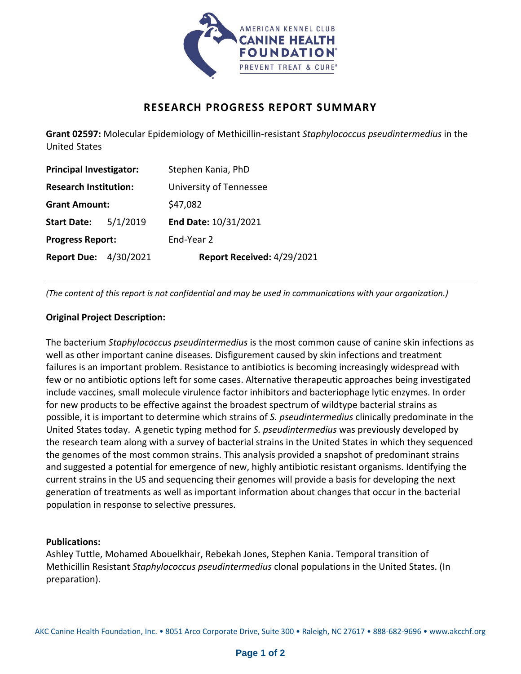

## **RESEARCH PROGRESS REPORT SUMMARY**

**Grant 02597:** Molecular Epidemiology of Methicillin-resistant *Staphylococcus pseudintermedius* in the United States

| <b>Principal Investigator:</b> |          | Stephen Kania, PhD         |
|--------------------------------|----------|----------------------------|
| <b>Research Institution:</b>   |          | University of Tennessee    |
| <b>Grant Amount:</b>           |          | \$47,082                   |
| <b>Start Date:</b>             | 5/1/2019 | End Date: 10/31/2021       |
| <b>Progress Report:</b>        |          | End-Year 2                 |
| <b>Report Due: 4/30/2021</b>   |          | Report Received: 4/29/2021 |

*(The content of this report is not confidential and may be used in communications with your organization.)*

## **Original Project Description:**

The bacterium *Staphylococcus pseudintermedius* is the most common cause of canine skin infections as well as other important canine diseases. Disfigurement caused by skin infections and treatment failures is an important problem. Resistance to antibiotics is becoming increasingly widespread with few or no antibiotic options left for some cases. Alternative therapeutic approaches being investigated include vaccines, small molecule virulence factor inhibitors and bacteriophage lytic enzymes. In order for new products to be effective against the broadest spectrum of wildtype bacterial strains as possible, it is important to determine which strains of *S. pseudintermedius* clinically predominate in the United States today. A genetic typing method for *S. pseudintermedius* was previously developed by the research team along with a survey of bacterial strains in the United States in which they sequenced the genomes of the most common strains. This analysis provided a snapshot of predominant strains and suggested a potential for emergence of new, highly antibiotic resistant organisms. Identifying the current strains in the US and sequencing their genomes will provide a basis for developing the next generation of treatments as well as important information about changes that occur in the bacterial population in response to selective pressures.

## **Publications:**

Ashley Tuttle, Mohamed Abouelkhair, Rebekah Jones, Stephen Kania. Temporal transition of Methicillin Resistant *Staphylococcus pseudintermedius* clonal populations in the United States. (In preparation).